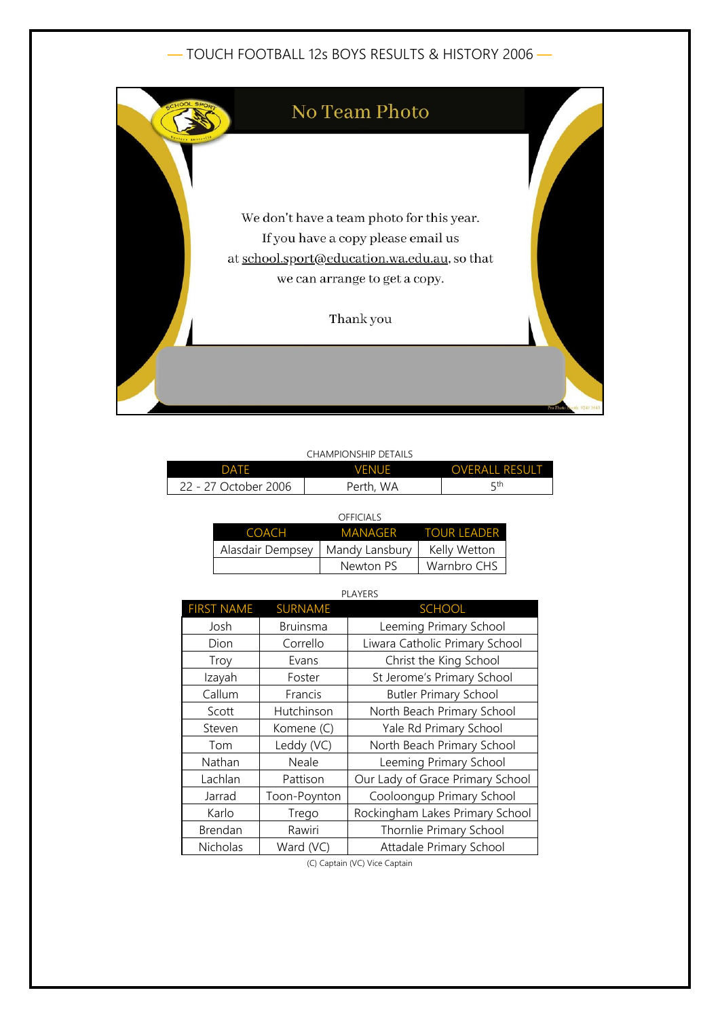— TOUCH FOOTBALL 12s BOYS RESULTS & HISTORY 2006 —



| <b>CHAMPIONSHIP DETAILS</b> |
|-----------------------------|
|-----------------------------|

| DATF         | VFNUF | <b>OVERALL RESULT</b> |
|--------------|-------|-----------------------|
| October 2006 | WA    | ςth                   |
| <i>11</i> –  | Perth | ے                     |

| OFFICIALS        |                |                     |  |  |
|------------------|----------------|---------------------|--|--|
| <b>COACH</b>     |                | MANAGER TOUR LEADER |  |  |
| Alasdair Dempsey | Mandy Lansbury | Kelly Wetton        |  |  |
|                  | Newton PS      | Warnbro CHS         |  |  |

|--|

| <b>FIRST NAME</b> | <b>SURNAME</b>  | <b>SCHOOL</b>                    |
|-------------------|-----------------|----------------------------------|
| Josh              | <b>Bruinsma</b> | Leeming Primary School           |
| Dion              | Corrello        | Liwara Catholic Primary School   |
| Troy              | Evans           | Christ the King School           |
| Izayah            | Foster          | St Jerome's Primary School       |
| Callum            | Francis         | <b>Butler Primary School</b>     |
| Scott             | Hutchinson      | North Beach Primary School       |
| Steven            | Komene (C)      | Yale Rd Primary School           |
| Tom               | Leddy (VC)      | North Beach Primary School       |
| Nathan            | Neale           | Leeming Primary School           |
| Lachlan           | Pattison        | Our Lady of Grace Primary School |
| Jarrad            | Toon-Poynton    | Cooloongup Primary School        |
| Karlo             | Trego           | Rockingham Lakes Primary School  |
| Brendan           | Rawiri          | Thornlie Primary School          |
| Nicholas          | Ward (VC)       | Attadale Primary School          |

(C) Captain (VC) Vice Captain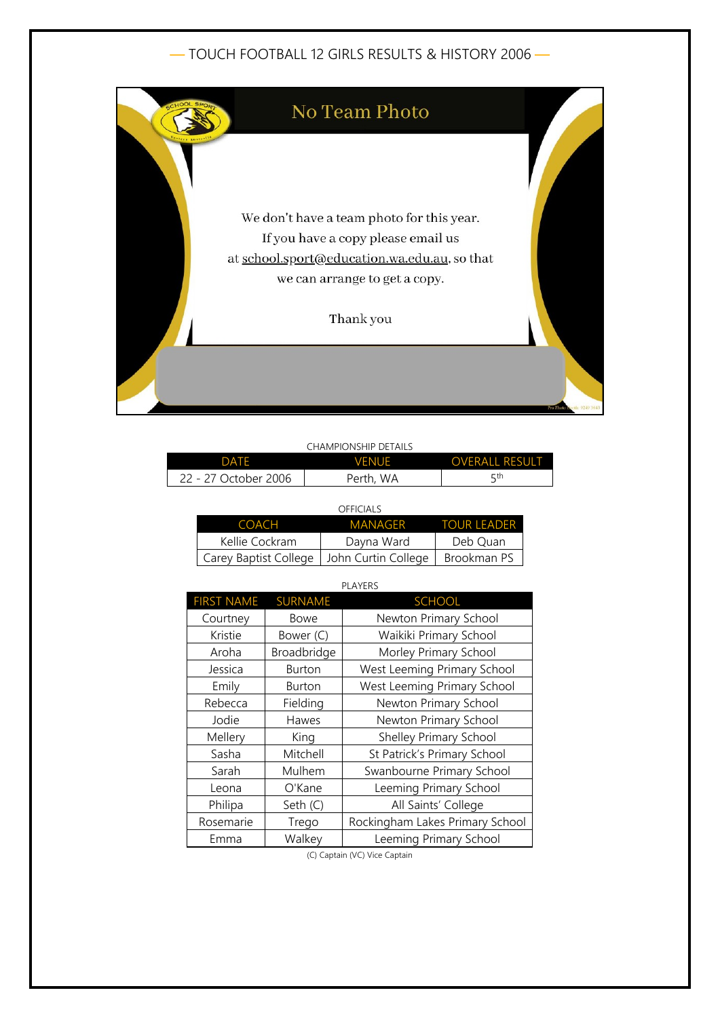## — TOUCH FOOTBALL 12 GIRLS RESULTS & HISTORY 2006 —



|                      | CHAMPIONSHIP DETAILS |                       |
|----------------------|----------------------|-----------------------|
| <b>DATE</b>          | <b>VENUE</b>         | <b>OVERALL RESULT</b> |
| 22 - 27 October 2006 | Perth, WA            | 5th                   |

|                                             | OFFICIALS  |                    |
|---------------------------------------------|------------|--------------------|
| <b>COACH</b>                                | MANAGFR    | <b>TOUR LEADER</b> |
| Kellie Cockram                              | Dayna Ward | Deb Quan           |
| Carey Baptist College   John Curtin College |            | Brookman PS        |

| <b>PLAYERS</b>    |                |                                 |  |  |
|-------------------|----------------|---------------------------------|--|--|
| <b>FIRST NAME</b> | <b>SURNAME</b> | <b>SCHOOL</b>                   |  |  |
| Courtney          | Bowe           | Newton Primary School           |  |  |
| Kristie           | Bower (C)      | Waikiki Primary School          |  |  |
| Aroha             | Broadbridge    | Morley Primary School           |  |  |
| Jessica           | <b>Burton</b>  | West Leeming Primary School     |  |  |
| Emily             | <b>Burton</b>  | West Leeming Primary School     |  |  |
| Rebecca           | Fielding       | Newton Primary School           |  |  |
| Jodie             | Hawes          | Newton Primary School           |  |  |
| Mellery           | King           | Shelley Primary School          |  |  |
| Sasha             | Mitchell       | St Patrick's Primary School     |  |  |
| Sarah             | Mulhem         | Swanbourne Primary School       |  |  |
| Leona             | O'Kane         | Leeming Primary School          |  |  |
| Philipa           | Seth (C)       | All Saints' College             |  |  |
| Rosemarie         | Trego          | Rockingham Lakes Primary School |  |  |
| Emma              | Walkey         | Leeming Primary School          |  |  |

(C) Captain (VC) Vice Captain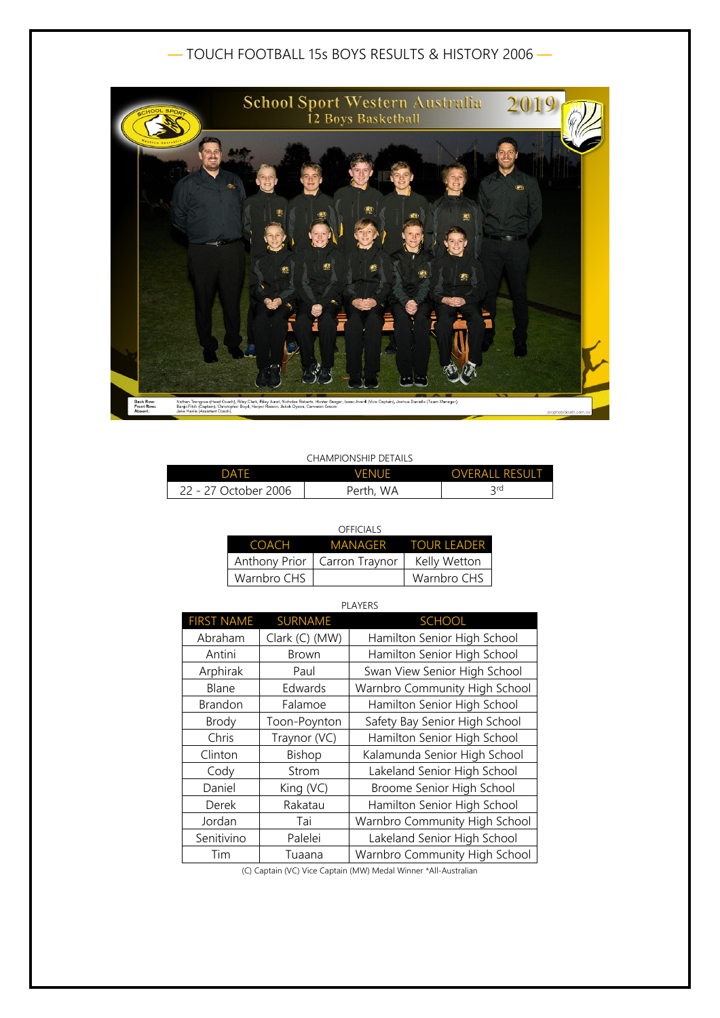## — TOUCH FOOTBALL 15s BOYS RESULTS & HISTORY 2006 —



#### CHAMPIONSHIP DETAILS

| DATE                 | <b>VENUE</b> | <b>OVERALL RESULT</b> |
|----------------------|--------------|-----------------------|
| 22 - 27 October 2006 | Perth, WA    | <b>Qrd</b>            |

#### OFFICIALS

|             | COACH MANAGER TOUR LEADER      |              |
|-------------|--------------------------------|--------------|
|             | Anthony Prior   Carron Traynor | Kelly Wetton |
| Warnbro CHS |                                | Warnbro CHS  |

### PLAYERS

| <b>FIRST NAME</b> | <b>SURNAME</b> | <b>SCHOOL</b>                 |
|-------------------|----------------|-------------------------------|
| Abraham           | Clark (C) (MW) | Hamilton Senior High School   |
| Antini            | Brown          | Hamilton Senior High School   |
| Arphirak          | Paul           | Swan View Senior High School  |
| Blane             | Edwards        | Warnbro Community High School |
| <b>Brandon</b>    | Falamoe        | Hamilton Senior High School   |
| Brody             | Toon-Poynton   | Safety Bay Senior High School |
| Chris             | Traynor (VC)   | Hamilton Senior High School   |
| Clinton           | Bishop         | Kalamunda Senior High School  |
| Cody              | Strom          | Lakeland Senior High School   |
| Daniel            | King (VC)      | Broome Senior High School     |
| Derek             | Rakatau        | Hamilton Senior High School   |
| Jordan            | Tai            | Warnbro Community High School |
| Senitivino        | Palelei        | Lakeland Senior High School   |
| Tim               | Tuaana         | Warnbro Community High School |

(C) Captain (VC) Vice Captain (MW) Medal Winner \*All-Australian